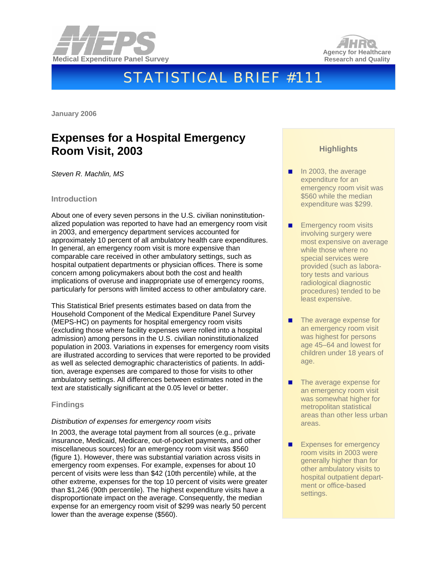



# STATISTICAL BRIEF #111

**January 2006** 

## **Expenses for a Hospital Emergency Room Visit, 2003**

*Steven R. Machlin, MS* 

#### **Introduction**

About one of every seven persons in the U.S. civilian noninstitutionalized population was reported to have had an emergency room visit in 2003, and emergency department services accounted for approximately 10 percent of all ambulatory health care expenditures. In general, an emergency room visit is more expensive than comparable care received in other ambulatory settings, such as hospital outpatient departments or physician offices. There is some concern among policymakers about both the cost and health implications of overuse and inappropriate use of emergency rooms, particularly for persons with limited access to other ambulatory care.

This Statistical Brief presents estimates based on data from the Household Component of the Medical Expenditure Panel Survey (MEPS-HC) on payments for hospital emergency room visits (excluding those where facility expenses were rolled into a hospital admission) among persons in the U.S. civilian noninstitutionalized population in 2003. Variations in expenses for emergency room visits are illustrated according to services that were reported to be provided as well as selected demographic characteristics of patients. In addition, average expenses are compared to those for visits to other ambulatory settings. All differences between estimates noted in the text are statistically significant at the 0.05 level or better.

#### **Findings**

#### *Distribution of expenses for emergency room visits*

In 2003, the average total payment from all sources (e.g., private insurance, Medicaid, Medicare, out-of-pocket payments, and other miscellaneous sources) for an emergency room visit was \$560 (figure 1). However, there was substantial variation across visits in emergency room expenses. For example, expenses for about 10 percent of visits were less than \$42 (10th percentile) while, at the other extreme, expenses for the top 10 percent of visits were greater than \$1,246 (90th percentile). The highest expenditure visits have a disproportionate impact on the average. Consequently, the median expense for an emergency room visit of \$299 was nearly 50 percent lower than the average expense (\$560).

### **Highlights**

- In 2003, the average expenditure for an emergency room visit was \$560 while the median expenditure was \$299.
- Emergency room visits involving surgery were most expensive on average while those where no special services were provided (such as laboratory tests and various radiological diagnostic procedures) tended to be least expensive.
- The average expense for an emergency room visit was highest for persons age 45–64 and lowest for children under 18 years of age.
- The average expense for an emergency room visit was somewhat higher for metropolitan statistical areas than other less urban areas.
- Expenses for emergency room visits in 2003 were generally higher than for other ambulatory visits to hospital outpatient department or office-based settings.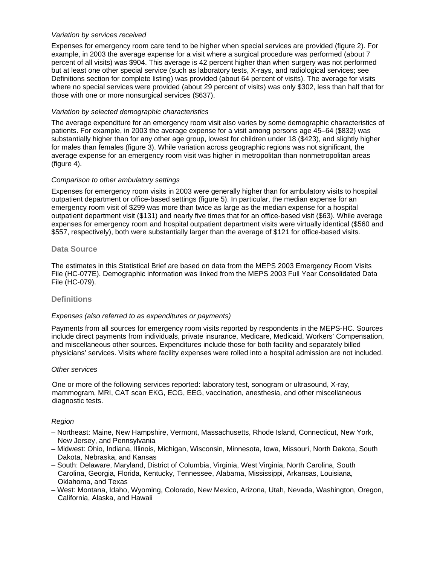#### *Variation by services received*

Expenses for emergency room care tend to be higher when special services are provided (figure 2). For example, in 2003 the average expense for a visit where a surgical procedure was performed (about 7 percent of all visits) was \$904. This average is 42 percent higher than when surgery was not performed but at least one other special service (such as laboratory tests, X-rays, and radiological services; see Definitions section for complete listing) was provided (about 64 percent of visits). The average for visits where no special services were provided (about 29 percent of visits) was only \$302, less than half that for those with one or more nonsurgical services (\$637).

#### *Variation by selected demographic characteristics*

The average expenditure for an emergency room visit also varies by some demographic characteristics of patients. For example, in 2003 the average expense for a visit among persons age 45–64 (\$832) was substantially higher than for any other age group, lowest for children under 18 (\$423), and slightly higher for males than females (figure 3). While variation across geographic regions was not significant, the average expense for an emergency room visit was higher in metropolitan than nonmetropolitan areas (figure 4).

#### *Comparison to other ambulatory settings*

Expenses for emergency room visits in 2003 were generally higher than for ambulatory visits to hospital outpatient department or office-based settings (figure 5). In particular, the median expense for an emergency room visit of \$299 was more than twice as large as the median expense for a hospital outpatient department visit (\$131) and nearly five times that for an office-based visit (\$63). While average expenses for emergency room and hospital outpatient department visits were virtually identical (\$560 and \$557, respectively), both were substantially larger than the average of \$121 for office-based visits.

#### **Data Source**

The estimates in this Statistical Brief are based on data from the MEPS 2003 Emergency Room Visits File (HC-077E). Demographic information was linked from the MEPS 2003 Full Year Consolidated Data File (HC-079).

#### **Definitions**

#### *Expenses (also referred to as expenditures or payments)*

Payments from all sources for emergency room visits reported by respondents in the MEPS-HC. Sources include direct payments from individuals, private insurance, Medicare, Medicaid, Workers' Compensation, and miscellaneous other sources. Expenditures include those for both facility and separately billed physicians' services. Visits where facility expenses were rolled into a hospital admission are not included.

#### *Other services*

One or more of the following services reported: laboratory test, sonogram or ultrasound, X-ray, mammogram, MRI, CAT scan EKG, ECG, EEG, vaccination, anesthesia, and other miscellaneous diagnostic tests.

#### *Region*

- Northeast: Maine, New Hampshire, Vermont, Massachusetts, Rhode Island, Connecticut, New York, New Jersey, and Pennsylvania
- Midwest: Ohio, Indiana, Illinois, Michigan, Wisconsin, Minnesota, Iowa, Missouri, North Dakota, South Dakota, Nebraska, and Kansas
- South: Delaware, Maryland, District of Columbia, Virginia, West Virginia, North Carolina, South Carolina, Georgia, Florida, Kentucky, Tennessee, Alabama, Mississippi, Arkansas, Louisiana, Oklahoma, and Texas
- West: Montana, Idaho, Wyoming, Colorado, New Mexico, Arizona, Utah, Nevada, Washington, Oregon, California, Alaska, and Hawaii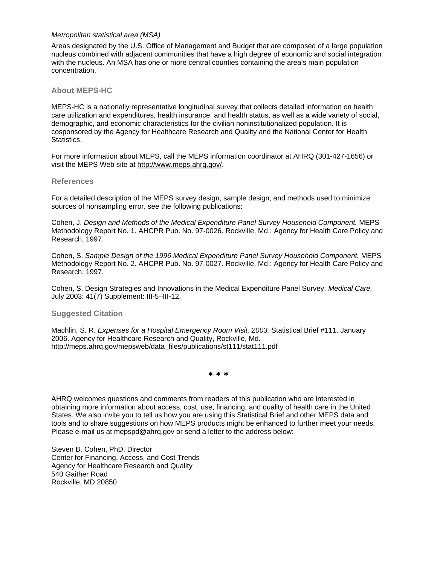#### *Metropolitan statistical area (MSA)*

Areas designated by the U.S. Office of Management and Budget that are composed of a large population nucleus combined with adjacent communities that have a high degree of economic and social integration with the nucleus. An MSA has one or more central counties containing the area's main population concentration.

#### **About MEPS-HC**

MEPS-HC is a nationally representative longitudinal survey that collects detailed information on health care utilization and expenditures, health insurance, and health status, as well as a wide variety of social, demographic, and economic characteristics for the civilian noninstitutionalized population. It is cosponsored by the Agency for Healthcare Research and Quality and the National Center for Health Statistics.

For more information about MEPS, call the MEPS information coordinator at AHRQ (301-427-1656) or visit the MEPS Web site at [http://www.meps.ahrq.gov/.](http://www.meps.ahrq.gov/)

#### **References**

For a detailed description of the MEPS survey design, sample design, and methods used to minimize sources of nonsampling error, see the following publications:

Cohen, J. *Design and Methods of the Medical Expenditure Panel Survey Household Component.* MEPS Methodology Report No. 1. AHCPR Pub. No. 97-0026. Rockville, Md.: Agency for Health Care Policy and Research, 1997.

Cohen, S. *Sample Design of the 1996 Medical Expenditure Panel Survey Household Component.* MEPS Methodology Report No. 2. AHCPR Pub. No. 97-0027. Rockville, Md.: Agency for Health Care Policy and Research, 1997.

Cohen, S. Design Strategies and Innovations in the Medical Expenditure Panel Survey. *Medical Care,* July 2003: 41(7) Supplement: III-5–III-12.

#### **Suggested Citation**

Machlin, S. R. *Expenses for a Hospital Emergency Room Visit, 2003.* Statistical Brief #111. January 2006. Agency for Healthcare Research and Quality, Rockville, Md. http://meps.ahrq.gov/mepsweb/data\_files/publications/st111/stat111.pdf

∗ ∗ ∗

AHRQ welcomes questions and comments from readers of this publication who are interested in obtaining more information about access, cost, use, financing, and quality of health care in the United States. We also invite you to tell us how you are using this Statistical Brief and other MEPS data and tools and to share suggestions on how MEPS products might be enhanced to further meet your needs. Please e-mail us at mepspd@ahrq.gov or send a letter to the address below:

Steven B. Cohen, PhD, Director Center for Financing, Access, and Cost Trends Agency for Healthcare Research and Quality 540 Gaither Road Rockville, MD 20850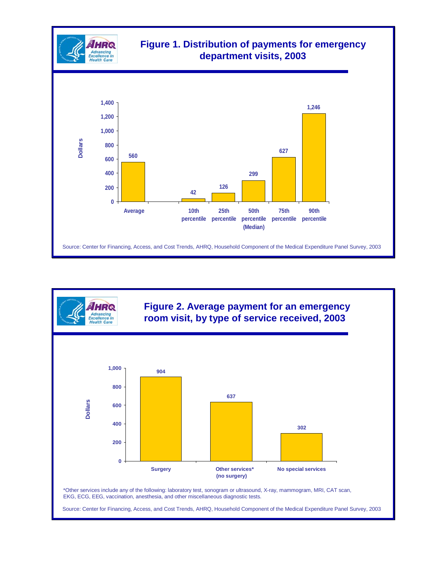

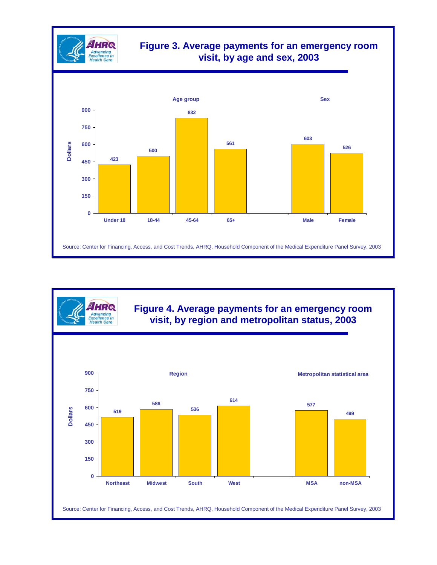